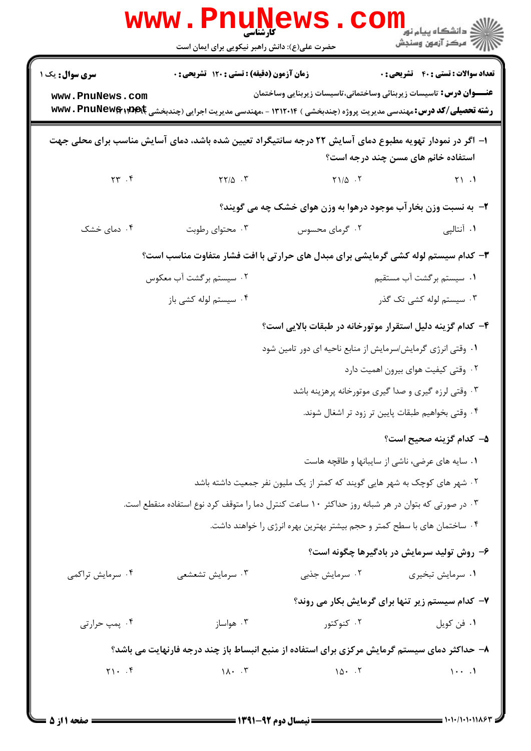|                                                                                   | <b>www.rnune</b><br>حضرت علی(ع): دانش راهبر نیکویی برای ایمان است                                                               |                                                                            | رد دانشڪاه پيام نور ■<br>ر <i>وڪ</i> ز آزمون وسنجش                         |
|-----------------------------------------------------------------------------------|---------------------------------------------------------------------------------------------------------------------------------|----------------------------------------------------------------------------|----------------------------------------------------------------------------|
| <b>سری سوال :</b> یک ۱                                                            | <b>زمان آزمون (دقیقه) : تستی : 120 گشریحی : 0</b>                                                                               |                                                                            | <b>تعداد سوالات : تستی : 40 قشریحی : 0</b>                                 |
| www.PnuNews.com                                                                   |                                                                                                                                 |                                                                            | <b>عنــــوان درس:</b> تاسیسات زیربنائی وساختمانی،تاسیسات زیربنایی وساختمان |
|                                                                                   | <b>رشته تحصیلی/کد درس:</b> مهندسی مدیریت پروژه (چندبخشی ) ۱۳۱۲۰۱۴ - ،مهندسی مدیریت اجرایی (چندبخشی <b>www . PnuNew&amp;;pdk</b> |                                                                            |                                                                            |
|                                                                                   | ا– اگر در نمودار تهویه مطبوع دمای آسایش ۲۲ درجه سانتیگراد تعیین شده باشد، دمای آسایش مناسب برای محلی جهت                        |                                                                            | استفاده خانم های مسن چند درجه است؟                                         |
| $\Upsilon \Upsilon$ . ۴                                                           | $YY/\Delta$ .                                                                                                                   | $Y1/\Delta$ .                                                              | Y1.1                                                                       |
|                                                                                   |                                                                                                                                 | ۲- به نسبت وزن بخارآب موجود درهوا به وزن هوای خشک چه می گویند؟             |                                                                            |
| ۰۴ دمای خشک                                                                       | ۰۳ محتوای رطوبت                                                                                                                 | ۰۲ گرمای محسوس                                                             | ۰۱ آنتالپی                                                                 |
| ۳- کدام سیستم لوله کشی گرمایشی برای مبدل های حرارتی با افت فشار متفاوت مناسب است؟ |                                                                                                                                 |                                                                            |                                                                            |
|                                                                                   | ۰۲ سیستم برگشت آب معکوس                                                                                                         |                                                                            | ۰۱ سیستم برگشت آب مستقیم                                                   |
|                                                                                   | ۰۴ سیستم لوله کشی باز                                                                                                           |                                                                            | ۰۳ سیستم لوله کشی تک گذر                                                   |
| ۴– کدام گزینه دلیل استقرار موتورخانه در طبقات بالایی است؟                         |                                                                                                                                 |                                                                            |                                                                            |
| ۰۱ وقتی انرژی گرمایش/سرمایش از منابع ناحیه ای دور تامین شود                       |                                                                                                                                 |                                                                            |                                                                            |
|                                                                                   |                                                                                                                                 |                                                                            | ۰۲ وقتی کیفیت هوای بیرون اهمیت دارد                                        |
|                                                                                   |                                                                                                                                 |                                                                            | ۰۳ وقتی لرزه گیری و صدا گیری موتورخانه پرهزینه باشد                        |
|                                                                                   |                                                                                                                                 |                                                                            | ۰۴ وقتی بخواهیم طبقات پایین تر زود تر اشغال شوند.                          |
|                                                                                   |                                                                                                                                 |                                                                            | ۵– کدام گزینه صحیح است؟                                                    |
|                                                                                   |                                                                                                                                 |                                                                            | ۰۱ سایه های عرضی، ناشی از سایبانها و طاقچه هاست                            |
|                                                                                   |                                                                                                                                 | ۰۲ شهر های کوچک به شهر هایی گویند که کمتر از یک ملیون نفر جمعیت داشته باشد |                                                                            |
|                                                                                   | ۰۳ در صورتی که بتوان در هر شبانه روز حداکثر ۱۰ ساعت کنترل دما را متوقف کرد نوع استفاده منقطع است.                               |                                                                            |                                                                            |
|                                                                                   |                                                                                                                                 | ۰۴ ساختمان های با سطح کمتر و حجم بیشتر بهترین بهره انرژی را خواهند داشت.   |                                                                            |
|                                                                                   |                                                                                                                                 |                                                                            | ۶- روش تولید سرمایش در بادگیرها چگونه است؟                                 |
| ۰۴ سرمايش تراكمي                                                                  | ۰۳ سرمايش تشعشعي                                                                                                                | ۰۲ سرمایش جذبی                                                             | ۰۱ سرمایش تبخیری                                                           |
|                                                                                   |                                                                                                                                 |                                                                            | ۷- کدام سیستم زیر تنها برای گرمایش بکار می روند؟                           |
| ۰۴ پمپ حرارتی                                                                     | ۰۳ هواساز                                                                                                                       | ۰۲ کنوکتور                                                                 | ٠١. فن كويل                                                                |
|                                                                                   | ۸– حداکثر دمای سیستم گرمایش مرکزی برای استفاده از منبع انبساط باز چند درجه فارنهایت می باشد؟                                    |                                                                            |                                                                            |
| $Y1 \cdot . 5$                                                                    | $1\Lambda$ . $\cdot$ $\uparrow$                                                                                                 | $10 \cdot 7$                                                               | $1 \cdot \cdot \cdot$                                                      |
|                                                                                   |                                                                                                                                 |                                                                            |                                                                            |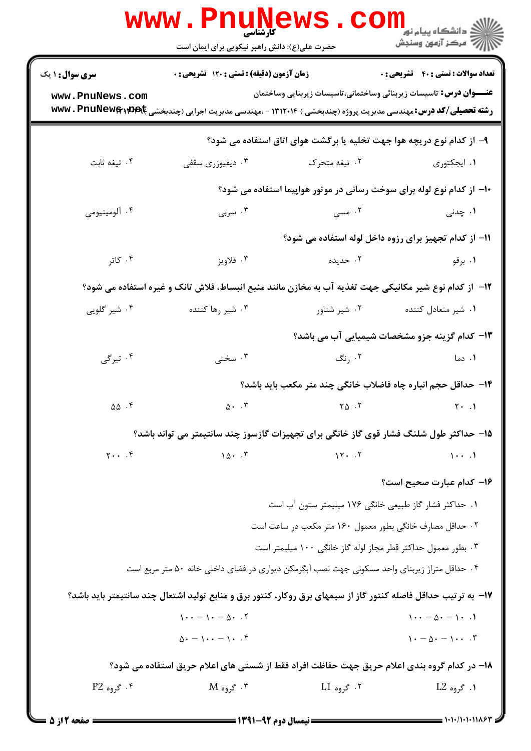|                                                                                                       | <b>www.PnuNews.com</b><br><b>۔ کارشناسی</b><br>حضرت علی(ع): دانش راهبر نیکویی برای ایمان است                                                                                                                                                           |                                                         | <sup>ان</sup> گ دانشگاه پيام نور "<br>  <i>  *</i><br>  # مرکز آزمون وسنجش |  |
|-------------------------------------------------------------------------------------------------------|--------------------------------------------------------------------------------------------------------------------------------------------------------------------------------------------------------------------------------------------------------|---------------------------------------------------------|----------------------------------------------------------------------------|--|
| <b>سری سوال : ۱ یک</b>                                                                                | <b>زمان آزمون (دقیقه) : تستی : 120 گشریحی : 0</b>                                                                                                                                                                                                      |                                                         | <b>تعداد سوالات : تستی : 40 قشریحی : 0</b>                                 |  |
| www.PnuNews.com                                                                                       | <b>رشته تحصیلی/کد درس:</b> مهندسی مدیریت پروژه (چندبخشی ) ۱۳۱۲۰۱۴ - ،مهندسی مدیریت اجرایی (چندبخشی <b>۱۹۹۲ : ۱۳۱۷ تا ۲۰۰</b><br><b>در استه تحصیلی/کد درس:</b> مهندسی مدیریت پروژه (چندبخشی ) ۱۳۱۲۰۱۴ - ،مهندسی مدیریت اجرایی (چندبخشی <b>۱۹۹۴ : ۱۳</b> |                                                         | <b>عنــــوان درس:</b> تاسیسات زیربنائی وساختمانی،تاسیسات زیربنایی وساختمان |  |
|                                                                                                       |                                                                                                                                                                                                                                                        |                                                         | ۹– از کدام نوع دریچه هوا جهت تخلیه یا برگشت هوای اتاق استفاده می شود؟      |  |
| ۰۴ تيغه ثابت                                                                                          | ۰۳ دیفیوزری سقفی                                                                                                                                                                                                                                       | ۰۲ تیغه متحرک                                           | ۰۱ ایجکتوری                                                                |  |
|                                                                                                       |                                                                                                                                                                                                                                                        |                                                         | ۱۰- از کدام نوع لوله برای سوخت رسانی در موتور هواپیما استفاده می شود؟      |  |
| ۰۴ آلومينيومي                                                                                         | ۰۳ سربی                                                                                                                                                                                                                                                | ۰۲ مسی                                                  | ۱. چدنی                                                                    |  |
|                                                                                                       |                                                                                                                                                                                                                                                        |                                                         | 11- از کدام تجهیز برای رزوه داخل لوله استفاده می شود؟                      |  |
| ۰۴ کاتر                                                                                               | ۰۳ قلاويز                                                                                                                                                                                                                                              | ۰۲ حدیده                                                | ۰۱ برقو                                                                    |  |
| ۱۲– از کدام نوع شیر مکانیکی جهت تغذیه آب به مخازن مانند منبع انبساط، فلاش تانک و غیره استفاده می شود؟ |                                                                                                                                                                                                                                                        |                                                         |                                                                            |  |
| ۰۴ شیر گلویی                                                                                          | ۰۳ شیر رها کننده                                                                                                                                                                                                                                       | ۰۲ شیر شناور                                            | ۰۱ شیر متعادل کننده                                                        |  |
|                                                                                                       |                                                                                                                                                                                                                                                        |                                                         | ۱۳- کدام گزینه جزو مشخصات شیمیایی آب می باشد؟                              |  |
| ۰۴ تیرگی                                                                                              | ۰۳ سختی                                                                                                                                                                                                                                                | ۰۲ رنگ                                                  | ۰۱ دما                                                                     |  |
|                                                                                                       |                                                                                                                                                                                                                                                        |                                                         | ۱۴– حداقل حجم انباره چاه فاضلاب خانگی چند متر مکعب باید باشد؟              |  |
| $\Delta \Delta$ .۴                                                                                    | $\Delta$ . $\zeta$                                                                                                                                                                                                                                     | $\begin{bmatrix} 8 & 1 \end{bmatrix}$                   | $\gamma$ . 1                                                               |  |
|                                                                                                       | ۱۵– حداکثر طول شلنگ فشار قوی گاز خانگی برای تجهیزات گازسوز چند سانتیمتر می تواند باشد؟                                                                                                                                                                 |                                                         |                                                                            |  |
| $\gamma \cdot \cdot \cdot$                                                                            | $10 \cdot 17$                                                                                                                                                                                                                                          | 15.7                                                    | $\cdots$                                                                   |  |
|                                                                                                       |                                                                                                                                                                                                                                                        |                                                         | ۱۶– کدام عبارت صحیح است؟                                                   |  |
|                                                                                                       |                                                                                                                                                                                                                                                        | ٠١. حداكثر فشار گاز طبيعي خانگي ١٧۶ ميليمتر ستون آب است |                                                                            |  |
| ۰۲ حداقل مصارف خانگی بطور معمول ۱۶۰ متر مکعب در ساعت است                                              |                                                                                                                                                                                                                                                        |                                                         |                                                                            |  |
|                                                                                                       |                                                                                                                                                                                                                                                        |                                                         | ۰۳ بطور معمول حداکثر قطر مجاز لوله گاز خانگی ۱۰۰ میلیمتر است               |  |
|                                                                                                       | ۰۴ حداقل متراژ زیربنای واحد مسکونی جهت نصب آبگرمکن دیواری در فضای داخلی خانه ۵۰ متر مربع است                                                                                                                                                           |                                                         |                                                                            |  |
|                                                                                                       | ۱۷- به ترتیب حداقل فاصله کنتور گاز از سیمهای برق روکار، کنتور برق و منابع تولید اشتعال چند سانتیمتر باید باشد؟                                                                                                                                         |                                                         |                                                                            |  |
|                                                                                                       | $1 \cdot \cdot - 1 \cdot - 0 \cdot .7$                                                                                                                                                                                                                 |                                                         | $1 \cdot \cdot - \Delta \cdot - 1 \cdot .1$                                |  |
|                                                                                                       | $\Delta \cdot -1 \cdot \cdot -1 \cdot \cdot f$                                                                                                                                                                                                         |                                                         | $1 - \Delta - 1 - 1$                                                       |  |
|                                                                                                       | ۱۸– در کدام گروه بندی اعلام حریق جهت حفاظت افراد فقط از شستی های اعلام حریق استفاده می شود؟                                                                                                                                                            |                                                         |                                                                            |  |
| $P2 \rightarrow \tilde{\mathcal{F}}$ . گروه                                                           | $\rm M$ گروه $\rm K$                                                                                                                                                                                                                                   | ۰۲ گروه L1                                              | ۰۱ گروه L2                                                                 |  |
| $=$ \$ :17 Asia $=$                                                                                   |                                                                                                                                                                                                                                                        |                                                         |                                                                            |  |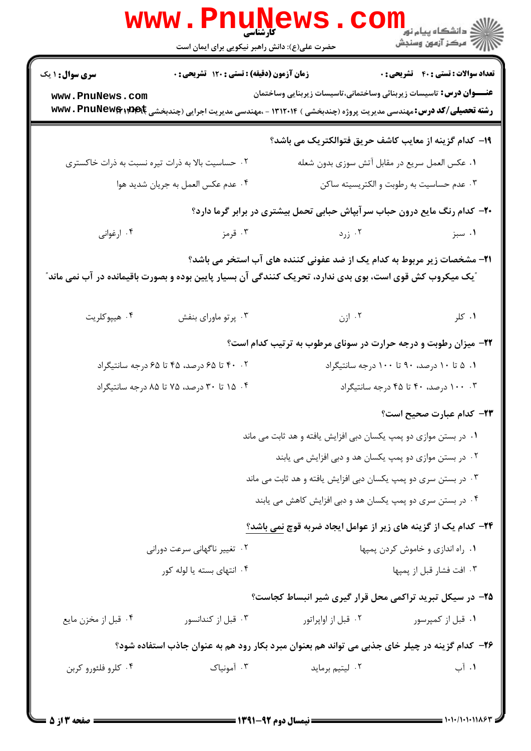|                                                  | www.PnuNews.<br>حضرت علی(ع): دانش راهبر نیکویی برای ایمان است |                                                                                                                                                                                                            |                                              |
|--------------------------------------------------|---------------------------------------------------------------|------------------------------------------------------------------------------------------------------------------------------------------------------------------------------------------------------------|----------------------------------------------|
| <b>سری سوال :</b> ۱ یک<br>www.PnuNews.com        | زمان آزمون (دقیقه) : تستی : ۱۲۰ تشریحی : ۰                    | <b>عنــــوان درس:</b> تاسیسات زیربنائی وساختمانی،تاسیسات زیربنایی وساختمان<br><b>رشته تحصیلی/کد درس:</b> مهندسی مدیریت پروژه (چندبخشی ) ۱۳۱۲۰۱۴ - ،مهندسی مدیریت اجرایی (چندبخشی <b>۱۳۱۴۲ Www ، PnuNew</b> | <b>تعداد سوالات : تستي : 40 - تشريحي : 0</b> |
|                                                  |                                                               | ۱۹- کدام گزینه از معایب کاشف حریق فتوالکتریک می باشد؟                                                                                                                                                      |                                              |
| ۰۲ حساسیت بالا به ذرات تیره نسبت به ذرات خاکستری |                                                               | ٠١ عكس العمل سريع در مقابل آتش سوزى بدون شعله                                                                                                                                                              |                                              |
|                                                  | ۰۴ عدم عكس العمل به جريان شديد هوا                            | ۰۳ عدم حساسیت به رطوبت و الکتریسیته ساکن                                                                                                                                                                   |                                              |
|                                                  |                                                               | +۲- کدام رنگ مایع درون حباب سر آبپاش حبابی تحمل بیشتری در برابر گرما دارد؟                                                                                                                                 |                                              |
| ۰۴ ارغوانی                                       | ۰۳ قرمز                                                       | ۰۲ زرد                                                                                                                                                                                                     | ۰۱ سبز                                       |
|                                                  |                                                               | ۲۱– مشخصات زیر مربوط به کدام یک از ضد عفونی کننده های آب استخر می باشد؟<br>ْیک میکروب کش قوی است، بوی بدی ندارد، تحریک کنندگی آن بسیار پایین بوده و بصورت باقیمانده در آب نمی ماند ّ                       |                                              |
| ۰۴ هيپوکلريت                                     | ۰۳ پرتو ماورای بنفش                                           | ازن ۲۰ $\mathsf{N}$                                                                                                                                                                                        | ۰۱ کلر                                       |
|                                                  |                                                               | ۲۲- میزان رطوبت و درجه حرارت در سونای مرطوب به ترتیب کدام است؟                                                                                                                                             |                                              |
|                                                  | ۴۰ .۲ تا ۶۵ درصد، ۴۵ تا ۶۵ درجه سانتیگراد                     | ۰۱ ۵ تا ۱۰ درصد، ۹۰ تا ۱۰۰ درجه سانتیگراد                                                                                                                                                                  |                                              |
|                                                  | ۰۴ ه تا ۳۰ درصد، ۷۵ تا ۸۵ درجه سانتیگراد                      |                                                                                                                                                                                                            | ۰۰ . ۱۰۰ درصد، ۴۰ تا ۴۵ درجه سانتیگراد       |
|                                                  |                                                               |                                                                                                                                                                                                            | <b>۲۳</b> – کدام عبارت صحیح است؟             |
|                                                  |                                                               | ۰۱ در بستن موازی دو پمپ یکسان دبی افزایش یافته و هد ثابت می ماند                                                                                                                                           |                                              |
|                                                  |                                                               | ۰۲ در بستن موازی دو پمپ یکسان هد و دبی افزایش می یابند                                                                                                                                                     |                                              |
|                                                  |                                                               | ۰۳ در بستن سری دو پمپ یکسان دبی افزایش یافته و هد ثابت می ماند                                                                                                                                             |                                              |
|                                                  |                                                               | ۰۴ در بستن سری دو پمپ یکسان هد و دبی افزایش کاهش می یابند                                                                                                                                                  |                                              |
|                                                  |                                                               | ۲۴- کدام یک از گزینه های زیر از عوامل ایجاد ضربه قوچ نمی باشد؟                                                                                                                                             |                                              |
|                                                  | ۰۲ تغییر ناگهانی سرعت دورانی                                  |                                                                                                                                                                                                            | ٠١ راه اندازي و خاموش كردن پمپها             |
|                                                  | ۰۴ انتهای بسته یا لوله کور                                    |                                                                                                                                                                                                            | ۰۳ افت فشار قبل از پمپها                     |
|                                                  |                                                               | ۲۵– در سیکل تبرید تراکمی محل قرار گیری شیر انبساط کجاست؟                                                                                                                                                   |                                              |
| ۰۴ قبل از مخزن مايع                              | ۰۳ قبل از کندانسور                                            | ۰۲ قبل از اواپراتور                                                                                                                                                                                        | ۰۱ قبل از کمپرسور                            |
|                                                  |                                                               | ۲۶– کدام گزینه در چیلر خای جذبی می تواند هم بعنوان مبرد بکار رود هم به عنوان جاذب استفاده شود؟                                                                                                             |                                              |
| ۰۴ کلرو فلئورو کربن                              | ۰۳ آمونیاک                                                    | ۰۲ لیتیم برماید                                                                                                                                                                                            | ۰۱ آب                                        |
|                                                  |                                                               |                                                                                                                                                                                                            |                                              |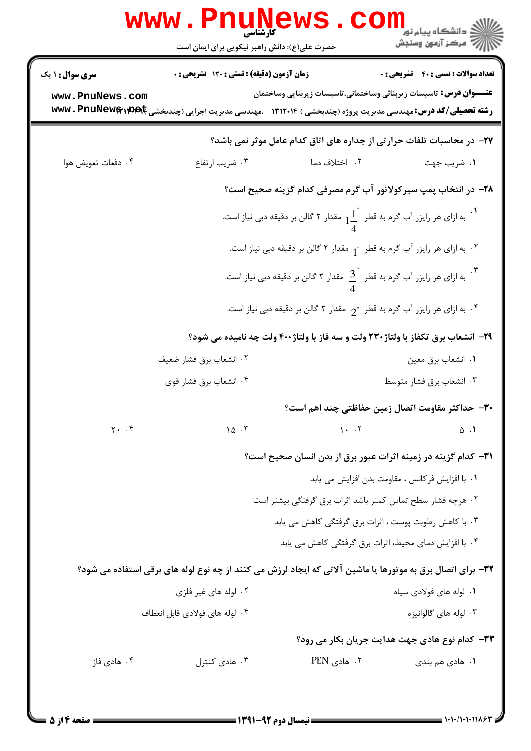|                         | www.PnuNews<br>حضرت علی(ع): دانش راهبر نیکویی برای ایمان است                                                                  |                              | الاد دانشگاه پيام نو <mark>.</mark><br>الان مرکز آزمون وسنجش                                       |
|-------------------------|-------------------------------------------------------------------------------------------------------------------------------|------------------------------|----------------------------------------------------------------------------------------------------|
| <b>سری سوال : ۱ یک</b>  | زمان آزمون (دقیقه) : تستی : ۱۲۰ تشریحی : ۰                                                                                    |                              | <b>تعداد سوالات : تستي : 40 - تشريحي : 0</b>                                                       |
| www.PnuNews.com         | <b>رشته تحصیلی/کد درس: م</b> هندسی مدیریت پروژه (چندبخشی ) ۱۳۱۲۰۱۴ - ،مهندسی مدیریت اجرایی (چندبخشی <b>www . PnuNew ی</b> www |                              | <b>عنــــوان درس:</b> تاسیسات زیربنائی وساختمانی،تاسیسات زیربنایی وساختمان                         |
|                         |                                                                                                                               |                              | ۲۷- در محاسبات تلفات حرارتی از جداره های اتاق کدام عامل موثر نمی باشد؟                             |
| ۰۴ دفعات تعويض هوا      | ۰۳ ضریب ارتفاع                                                                                                                | ۰۲ اختلاف دما                | ۰۱ ضريب جهت                                                                                        |
|                         |                                                                                                                               |                              | ۲۸– در انتخاب پمپ سیرکولاتور آب گرم مصرفی کدام گزینه صحیح است؟                                     |
|                         |                                                                                                                               |                              | .<br>به ازای هر رایزر آب گرم به قطر $\frac{1}{4}^{-}$ مقدار ۲ گالن بر دقیقه دبی نیاز است.          |
|                         |                                                                                                                               |                              | ۰۲ به ازای هر رایزر آب گرم به قطر <sub>"1</sub> مقدار ۲ گالن بر دقیقه دبی نیاز است.                |
|                         |                                                                                                                               |                              | .<br>به ازای هر رایزر آب گرم به قطر $\cfrac{3}{A}^{\text{!`}}$ مقدار ۲ گالن بر دقیقه دبی نیاز است. |
|                         |                                                                                                                               |                              | ۰۴ به ازای هر رایزر آب گرم به قطر <sub>"2</sub> مقدار ۲ گالن بر دقیقه دبی نیاز است. $\cdot$        |
|                         | ۲۹- انشعاب برق تکفاز با ولتاژ۲۳۰ ولت و سه فاز با ولتاژ۲۰۰ ولت چه نامیده می شود؟                                               |                              |                                                                                                    |
|                         | ۰۲ انشعاب برق فشار ضعيف                                                                                                       |                              | ٠١ انشعاب برق معين                                                                                 |
|                         | ۰۴ انشعاب برق فشار قوي                                                                                                        |                              | ۰۳ انشعاب برق فشار متوسط                                                                           |
|                         |                                                                                                                               |                              | ٣٠- حداكثر مقاومت اتصال زمين حفاظتي چند اهم است؟                                                   |
| $Y.$ $\cdot$ $\uparrow$ | 10.7                                                                                                                          | $\uparrow \cdot \cdot \cdot$ | $\Delta$ .                                                                                         |
|                         |                                                                                                                               |                              | ٣١- كدام گزينه در زمينه اثرات عبور برق از بدن انسان صحيح است؟                                      |
|                         |                                                                                                                               |                              | ٠١ با افزايش فركانس ، مقاومت بدن افزايش مي يابد                                                    |
|                         |                                                                                                                               |                              | ٠٢ هرچه فشار سطح تماس كمتر باشد اثرات برق گرفتگي بيشتر است                                         |
|                         |                                                                                                                               |                              | ۰۳ با کاهش رطوبت پوست ، اثرات برق گرفتگی کاهش می یابد                                              |
|                         |                                                                                                                               |                              | ۰۴ با افزایش دمای محیط، اثرات برق گرفتگی کاهش می یابد                                              |
|                         | 33- برای اتصال برق به موتورها یا ماشین آلاتی که ایجاد لرزش می کنند از چه نوع لوله های برقی استفاده می شود؟                    |                              |                                                                                                    |
|                         | ۰۲ لوله های غیر فلزی                                                                                                          |                              | ۰۱ لوله های فولادی سیاه                                                                            |
|                         | ۰۴ لوله های فولادی قابل انعطاف                                                                                                |                              | ۰۳ لوله های گالوانیزه                                                                              |
|                         |                                                                                                                               |                              | ٣٣- كدام نوع هادي جهت هدايت جريان بكار مي رود؟                                                     |
| ۰۴ هادی فاز             | ۰۳ هادی کنترل                                                                                                                 | ۲. هادی PEN                  | ۰۱ هادی هم بندی                                                                                    |
|                         |                                                                                                                               |                              |                                                                                                    |